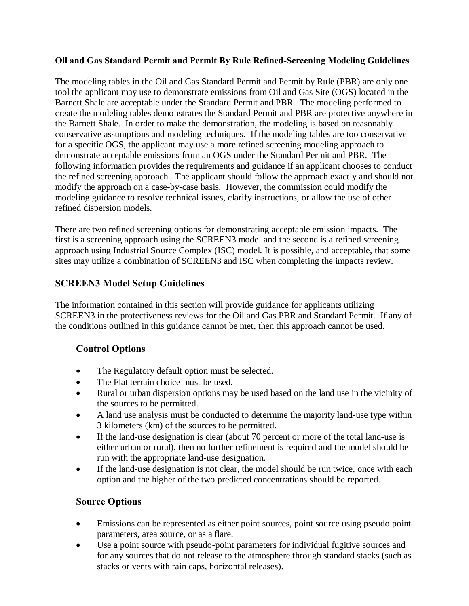#### **Oil and Gas Standard Permit and Permit By Rule Refined-Screening Modeling Guidelines**

The modeling tables in the Oil and Gas Standard Permit and Permit by Rule (PBR) are only one tool the applicant may use to demonstrate emissions from Oil and Gas Site (OGS) located in the Barnett Shale are acceptable under the Standard Permit and PBR. The modeling performed to create the modeling tables demonstrates the Standard Permit and PBR are protective anywhere in the Barnett Shale. In order to make the demonstration, the modeling is based on reasonably conservative assumptions and modeling techniques. If the modeling tables are too conservative for a specific OGS, the applicant may use a more refined screening modeling approach to demonstrate acceptable emissions from an OGS under the Standard Permit and PBR. The following information provides the requirements and guidance if an applicant chooses to conduct the refined screening approach. The applicant should follow the approach exactly and should not modify the approach on a case-by-case basis. However, the commission could modify the modeling guidance to resolve technical issues, clarify instructions, or allow the use of other refined dispersion models.

There are two refined screening options for demonstrating acceptable emission impacts. The first is a screening approach using the SCREEN3 model and the second is a refined screening approach using Industrial Source Complex (ISC) model. It is possible, and acceptable, that some sites may utilize a combination of SCREEN3 and ISC when completing the impacts review.

### **SCREEN3 Model Setup Guidelines**

The information contained in this section will provide guidance for applicants utilizing SCREEN3 in the protectiveness reviews for the Oil and Gas PBR and Standard Permit. If any of the conditions outlined in this guidance cannot be met, then this approach cannot be used.

## **Control Options**

- The Regulatory default option must be selected.
- The Flat terrain choice must be used.
- Rural or urban dispersion options may be used based on the land use in the vicinity of the sources to be permitted.
- A land use analysis must be conducted to determine the majority land-use type within 3 kilometers (km) of the sources to be permitted.
- If the land-use designation is clear (about 70 percent or more of the total land-use is either urban or rural), then no further refinement is required and the model should be run with the appropriate land-use designation.
- If the land-use designation is not clear, the model should be run twice, once with each option and the higher of the two predicted concentrations should be reported.

## **Source Options**

- Emissions can be represented as either point sources, point source using pseudo point parameters, area source, or as a flare.
- Use a point source with pseudo-point parameters for individual fugitive sources and for any sources that do not release to the atmosphere through standard stacks (such as stacks or vents with rain caps, horizontal releases).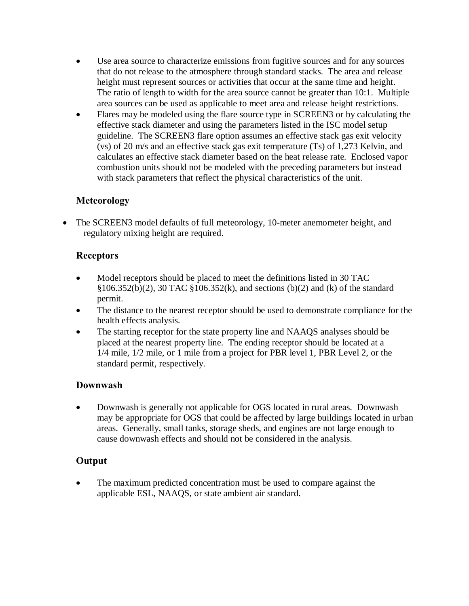- Use area source to characterize emissions from fugitive sources and for any sources that do not release to the atmosphere through standard stacks. The area and release height must represent sources or activities that occur at the same time and height. The ratio of length to width for the area source cannot be greater than 10:1. Multiple area sources can be used as applicable to meet area and release height restrictions.
- Flares may be modeled using the flare source type in SCREEN3 or by calculating the effective stack diameter and using the parameters listed in the ISC model setup guideline. The SCREEN3 flare option assumes an effective stack gas exit velocity (vs) of 20 m/s and an effective stack gas exit temperature (Ts) of 1,273 Kelvin, and calculates an effective stack diameter based on the heat release rate. Enclosed vapor combustion units should not be modeled with the preceding parameters but instead with stack parameters that reflect the physical characteristics of the unit.

### **Meteorology**

• The SCREEN3 model defaults of full meteorology, 10-meter anemometer height, and regulatory mixing height are required.

### **Receptors**

- Model receptors should be placed to meet the definitions listed in 30 TAC §106.352(b)(2), 30 TAC §106.352(k), and sections (b)(2) and (k) of the standard permit.
- The distance to the nearest receptor should be used to demonstrate compliance for the health effects analysis.
- The starting receptor for the state property line and NAAQS analyses should be placed at the nearest property line. The ending receptor should be located at a 1/4 mile, 1/2 mile, or 1 mile from a project for PBR level 1, PBR Level 2, or the standard permit, respectively.

#### **Downwash**

• Downwash is generally not applicable for OGS located in rural areas. Downwash may be appropriate for OGS that could be affected by large buildings located in urban areas. Generally, small tanks, storage sheds, and engines are not large enough to cause downwash effects and should not be considered in the analysis.

#### **Output**

The maximum predicted concentration must be used to compare against the applicable ESL, NAAQS, or state ambient air standard.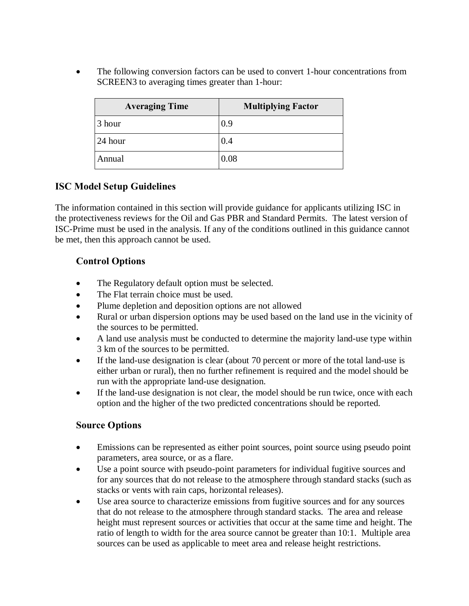• The following conversion factors can be used to convert 1-hour concentrations from SCREEN3 to averaging times greater than 1-hour:

| <b>Averaging Time</b> | <b>Multiplying Factor</b> |
|-----------------------|---------------------------|
| 3 hour                | 0.9                       |
| 24 hour               | 0.4                       |
| Annual                | 0.08                      |

### **ISC Model Setup Guidelines**

The information contained in this section will provide guidance for applicants utilizing ISC in the protectiveness reviews for the Oil and Gas PBR and Standard Permits. The latest version of ISC-Prime must be used in the analysis. If any of the conditions outlined in this guidance cannot be met, then this approach cannot be used.

#### **Control Options**

- The Regulatory default option must be selected.
- The Flat terrain choice must be used.
- Plume depletion and deposition options are not allowed
- Rural or urban dispersion options may be used based on the land use in the vicinity of the sources to be permitted.
- A land use analysis must be conducted to determine the majority land-use type within 3 km of the sources to be permitted.
- If the land-use designation is clear (about 70 percent or more of the total land-use is either urban or rural), then no further refinement is required and the model should be run with the appropriate land-use designation.
- If the land-use designation is not clear, the model should be run twice, once with each option and the higher of the two predicted concentrations should be reported.

## **Source Options**

- Emissions can be represented as either point sources, point source using pseudo point parameters, area source, or as a flare.
- Use a point source with pseudo-point parameters for individual fugitive sources and for any sources that do not release to the atmosphere through standard stacks (such as stacks or vents with rain caps, horizontal releases).
- Use area source to characterize emissions from fugitive sources and for any sources that do not release to the atmosphere through standard stacks. The area and release height must represent sources or activities that occur at the same time and height. The ratio of length to width for the area source cannot be greater than 10:1. Multiple area sources can be used as applicable to meet area and release height restrictions.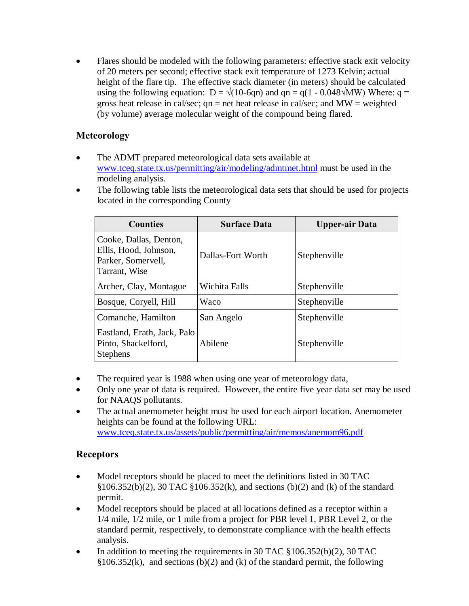Flares should be modeled with the following parameters: effective stack exit velocity of 20 meters per second; effective stack exit temperature of 1273 Kelvin; actual height of the flare tip. The effective stack diameter (in meters) should be calculated using the following equation:  $D = \sqrt{(10-6qn)}$  and  $qn = q(1 - 0.048\sqrt{MW})$  Where:  $q =$ gross heat release in cal/sec;  $qn = net$  heat release in cal/sec; and  $MW = weighted$ (by volume) average molecular weight of the compound being flared.

## **Meteorology**

- The ADMT prepared meteorological data sets available at [www.tceq.state.tx.us/permitting/air/modeling/admtmet.html](http://www.tceq.state.tx.us/permitting/air/modeling/admtmet.html) must be used in the modeling analysis.
- The following table lists the meteorological data sets that should be used for projects located in the corresponding County

| <b>Counties</b>                                                                        | <b>Surface Data</b> | <b>Upper-air Data</b> |
|----------------------------------------------------------------------------------------|---------------------|-----------------------|
| Cooke, Dallas, Denton,<br>Ellis, Hood, Johnson,<br>Parker, Somervell,<br>Tarrant, Wise | Dallas-Fort Worth   | Stephenville          |
| Archer, Clay, Montague                                                                 | Wichita Falls       | Stephenville          |
| Bosque, Coryell, Hill                                                                  | Waco                | Stephenville          |
| Comanche, Hamilton                                                                     | San Angelo          | Stephenville          |
| Eastland, Erath, Jack, Palo<br>Pinto, Shackelford,<br><b>Stephens</b>                  | Abilene             | Stephenville          |

- The required year is 1988 when using one year of meteorology data,
- Only one year of data is required. However, the entire five year data set may be used for NAAQS pollutants.
- The actual anemometer height must be used for each airport location. Anemometer heights can be found at the following URL: [www.tceq.state.tx.us/assets/public/permitting/air/memos/anemom96.pdf](http://www.tceq.state.tx.us/assets/public/permitting/air/memos/anemom96.pdf)

# **Receptors**

- Model receptors should be placed to meet the definitions listed in 30 TAC §106.352(b)(2), 30 TAC §106.352(k), and sections (b)(2) and (k) of the standard permit.
- Model receptors should be placed at all locations defined as a receptor within a 1/4 mile, 1/2 mile, or 1 mile from a project for PBR level 1, PBR Level 2, or the standard permit, respectively, to demonstrate compliance with the health effects analysis.
- In addition to meeting the requirements in 30 TAC §106.352(b)(2), 30 TAC  $§106.352(k)$ , and sections (b)(2) and (k) of the standard permit, the following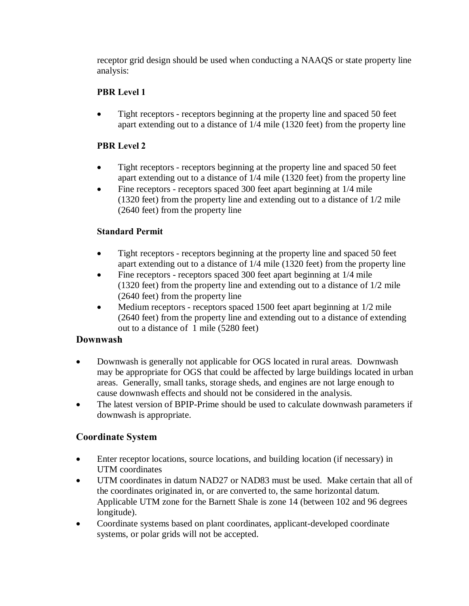receptor grid design should be used when conducting a NAAQS or state property line analysis:

#### **PBR Level 1**

• Tight receptors - receptors beginning at the property line and spaced 50 feet apart extending out to a distance of 1/4 mile (1320 feet) from the property line

#### **PBR Level 2**

- Tight receptors receptors beginning at the property line and spaced 50 feet apart extending out to a distance of 1/4 mile (1320 feet) from the property line
- Fine receptors receptors spaced 300 feet apart beginning at 1/4 mile (1320 feet) from the property line and extending out to a distance of 1/2 mile (2640 feet) from the property line

#### **Standard Permit**

- Tight receptors receptors beginning at the property line and spaced 50 feet apart extending out to a distance of 1/4 mile (1320 feet) from the property line
- Fine receptors receptors spaced 300 feet apart beginning at 1/4 mile (1320 feet) from the property line and extending out to a distance of 1/2 mile (2640 feet) from the property line
- Medium receptors receptors spaced 1500 feet apart beginning at 1/2 mile (2640 feet) from the property line and extending out to a distance of extending out to a distance of 1 mile (5280 feet)

#### **Downwash**

- Downwash is generally not applicable for OGS located in rural areas. Downwash may be appropriate for OGS that could be affected by large buildings located in urban areas. Generally, small tanks, storage sheds, and engines are not large enough to cause downwash effects and should not be considered in the analysis.
- The latest version of BPIP-Prime should be used to calculate downwash parameters if downwash is appropriate.

#### **Coordinate System**

- Enter receptor locations, source locations, and building location (if necessary) in UTM coordinates
- UTM coordinates in datum NAD27 or NAD83 must be used. Make certain that all of the coordinates originated in, or are converted to, the same horizontal datum. Applicable UTM zone for the Barnett Shale is zone 14 (between 102 and 96 degrees longitude).
- Coordinate systems based on plant coordinates, applicant-developed coordinate systems, or polar grids will not be accepted.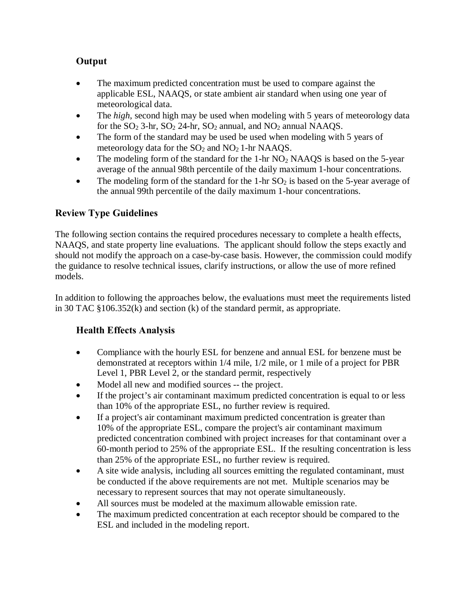# **Output**

- The maximum predicted concentration must be used to compare against the applicable ESL, NAAQS, or state ambient air standard when using one year of meteorological data.
- The *high*, second high may be used when modeling with 5 years of meteorology data for the  $SO_2$  3-hr,  $SO_2$  24-hr,  $SO_2$  annual, and  $NO_2$  annual NAAQS.
- The form of the standard may be used be used when modeling with 5 years of meteorology data for the  $SO_2$  and  $NO_2$  1-hr NAAQS.
- The modeling form of the standard for the 1-hr  $NO<sub>2</sub>$  NAAQS is based on the 5-year average of the annual 98th percentile of the daily maximum 1-hour concentrations.
- The modeling form of the standard for the 1-hr  $SO<sub>2</sub>$  is based on the 5-year average of the annual 99th percentile of the daily maximum 1-hour concentrations.

## **Review Type Guidelines**

The following section contains the required procedures necessary to complete a health effects, NAAQS, and state property line evaluations. The applicant should follow the steps exactly and should not modify the approach on a case-by-case basis. However, the commission could modify the guidance to resolve technical issues, clarify instructions, or allow the use of more refined models.

In addition to following the approaches below, the evaluations must meet the requirements listed in 30 TAC §106.352(k) and section (k) of the standard permit, as appropriate.

## **Health Effects Analysis**

- Compliance with the hourly ESL for benzene and annual ESL for benzene must be demonstrated at receptors within 1/4 mile, 1/2 mile, or 1 mile of a project for PBR Level 1, PBR Level 2, or the standard permit, respectively
- Model all new and modified sources -- the project.
- If the project's air contaminant maximum predicted concentration is equal to or less than 10% of the appropriate ESL, no further review is required.
- If a project's air contaminant maximum predicted concentration is greater than 10% of the appropriate ESL, compare the project's air contaminant maximum predicted concentration combined with project increases for that contaminant over a 60-month period to 25% of the appropriate ESL. If the resulting concentration is less than 25% of the appropriate ESL, no further review is required.
- A site wide analysis, including all sources emitting the regulated contaminant, must be conducted if the above requirements are not met. Multiple scenarios may be necessary to represent sources that may not operate simultaneously.
- All sources must be modeled at the maximum allowable emission rate.
- The maximum predicted concentration at each receptor should be compared to the ESL and included in the modeling report.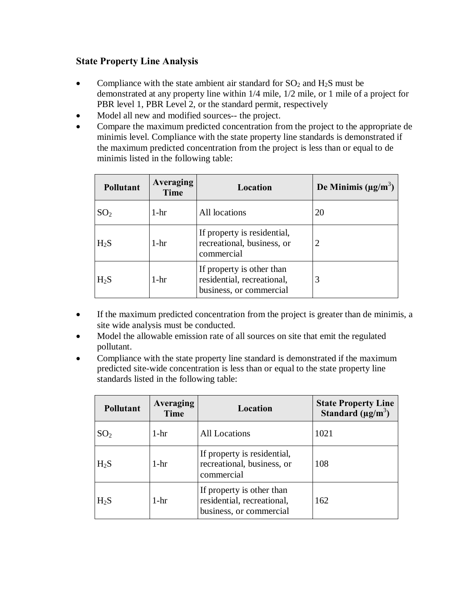#### **State Property Line Analysis**

- Compliance with the state ambient air standard for  $SO_2$  and  $H_2S$  must be demonstrated at any property line within 1/4 mile, 1/2 mile, or 1 mile of a project for PBR level 1, PBR Level 2, or the standard permit, respectively
- Model all new and modified sources-- the project.
- Compare the maximum predicted concentration from the project to the appropriate de minimis level. Compliance with the state property line standards is demonstrated if the maximum predicted concentration from the project is less than or equal to de minimis listed in the following table:

| <b>Pollutant</b> | <b>Averaging</b><br><b>Time</b> | Location                                                                           | De Minimis ( $\mu$ g/m <sup>3</sup> ) |
|------------------|---------------------------------|------------------------------------------------------------------------------------|---------------------------------------|
| SO <sub>2</sub>  | $1-hr$                          | All locations                                                                      | 20                                    |
| $H_2S$           | $1-hr$                          | If property is residential,<br>recreational, business, or<br>commercial            |                                       |
| $H_2S$           | $1-hr$                          | If property is other than<br>residential, recreational,<br>business, or commercial | 3                                     |

- If the maximum predicted concentration from the project is greater than de minimis, a site wide analysis must be conducted.
- Model the allowable emission rate of all sources on site that emit the regulated pollutant.
- Compliance with the state property line standard is demonstrated if the maximum predicted site-wide concentration is less than or equal to the state property line standards listed in the following table:

| <b>Pollutant</b> | <b>Averaging</b><br>Time | Location                                                                           | <b>State Property Line</b><br>Standard ( $\mu$ g/m <sup>3</sup> ) |
|------------------|--------------------------|------------------------------------------------------------------------------------|-------------------------------------------------------------------|
| SO <sub>2</sub>  | $1-hr$                   | <b>All Locations</b>                                                               | 1021                                                              |
| $H_2S$           | $1-hr$                   | If property is residential,<br>recreational, business, or<br>commercial            | 108                                                               |
| H <sub>2</sub> S | $1-hr$                   | If property is other than<br>residential, recreational,<br>business, or commercial | 162                                                               |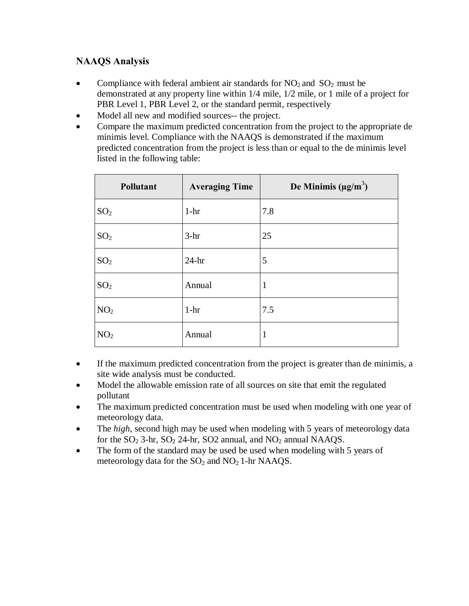## **NAAQS Analysis**

- Compliance with federal ambient air standards for  $NO_2$  and  $SO_2$  must be demonstrated at any property line within 1/4 mile, 1/2 mile, or 1 mile of a project for PBR Level 1, PBR Level 2, or the standard permit, respectively
- Model all new and modified sources-- the project.
- Compare the maximum predicted concentration from the project to the appropriate de minimis level. Compliance with the NAAQS is demonstrated if the maximum predicted concentration from the project is less than or equal to the de minimis level listed in the following table:

| Pollutant       | <b>Averaging Time</b> | De Minimis ( $\mu g/m^3$ ) |
|-----------------|-----------------------|----------------------------|
| SO <sub>2</sub> | $1-hr$                | 7.8                        |
| SO <sub>2</sub> | $3-hr$                | 25                         |
| SO <sub>2</sub> | $24-hr$               | 5                          |
| SO <sub>2</sub> | Annual                | 1                          |
| NO <sub>2</sub> | $1-hr$                | 7.5                        |
| NO <sub>2</sub> | Annual                | 1                          |

- If the maximum predicted concentration from the project is greater than de minimis, a site wide analysis must be conducted.
- Model the allowable emission rate of all sources on site that emit the regulated pollutant
- The maximum predicted concentration must be used when modeling with one year of meteorology data.
- The *high*, second high may be used when modeling with 5 years of meteorology data for the  $SO_2$  3-hr,  $SO_2$  24-hr,  $SO_2$  annual, and  $NO_2$  annual NAAQS.
- The form of the standard may be used be used when modeling with 5 years of meteorology data for the  $SO_2$  and  $NO_2$  1-hr NAAQS.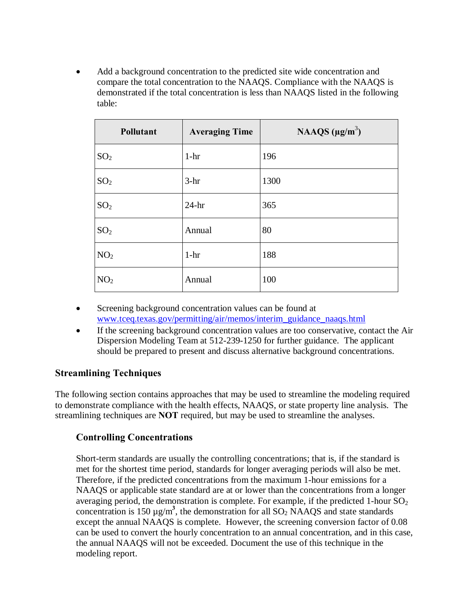Add a background concentration to the predicted site wide concentration and compare the total concentration to the NAAQS. Compliance with the NAAQS is demonstrated if the total concentration is less than NAAQS listed in the following table:

| Pollutant       | <b>Averaging Time</b> | NAAQS $(\mu g/m^3)$ |
|-----------------|-----------------------|---------------------|
| SO <sub>2</sub> | $1-hr$                | 196                 |
| SO <sub>2</sub> | $3-hr$                | 1300                |
| SO <sub>2</sub> | $24-hr$               | 365                 |
| SO <sub>2</sub> | Annual                | 80                  |
| NO <sub>2</sub> | $1-hr$                | 188                 |
| NO <sub>2</sub> | Annual                | 100                 |

- Screening background concentration values can be found at [www.tceq.texas.gov/permitting/air/memos/interim\\_guidance\\_naaqs.html](http://www.tceq.texas.gov/permitting/air/memos/interim_guidance_naaqs.html)
- If the screening background concentration values are too conservative, contact the Air Dispersion Modeling Team at 512-239-1250 for further guidance. The applicant should be prepared to present and discuss alternative background concentrations.

#### **Streamlining Techniques**

The following section contains approaches that may be used to streamline the modeling required to demonstrate compliance with the health effects, NAAQS, or state property line analysis. The streamlining techniques are **NOT** required, but may be used to streamline the analyses.

#### **Controlling Concentrations**

Short-term standards are usually the controlling concentrations; that is, if the standard is met for the shortest time period, standards for longer averaging periods will also be met. Therefore, if the predicted concentrations from the maximum 1-hour emissions for a NAAQS or applicable state standard are at or lower than the concentrations from a longer averaging period, the demonstration is complete. For example, if the predicted 1-hour  $SO_2$ concentration is 150  $\mu$ g/m<sup>3</sup>, the demonstration for all SO<sub>2</sub> NAAQS and state standards except the annual NAAQS is complete. However, the screening conversion factor of 0.08 can be used to convert the hourly concentration to an annual concentration, and in this case, the annual NAAQS will not be exceeded. Document the use of this technique in the modeling report.